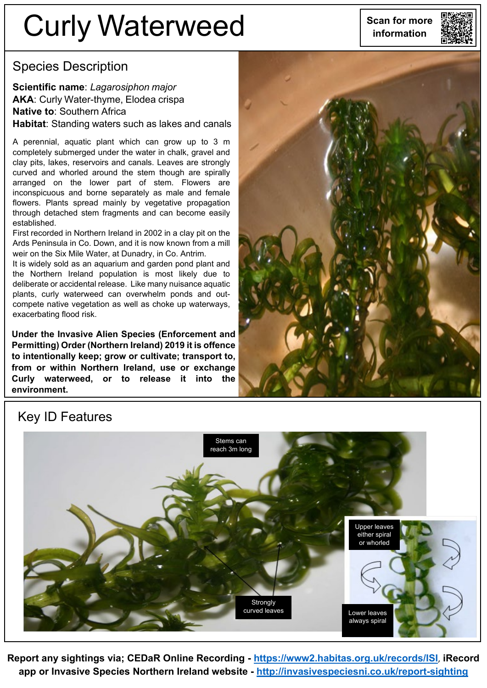# **Scan for more** Curly Waterweed **information**



### Species Description

**Scientific name**: *Lagarosiphon major* **AKA**: Curly Water-thyme, Elodea crispa **Native to**: Southern Africa **Habitat**: Standing waters such as lakes and canals

A perennial, aquatic plant which can grow up to 3 m completely submerged under the water in chalk, gravel and clay pits, lakes, reservoirs and canals. Leaves are strongly curved and whorled around the stem though are spirally arranged on the lower part of stem. Flowers are inconspicuous and borne separately as male and female flowers. Plants spread mainly by vegetative propagation through detached stem fragments and can become easily established.

First recorded in Northern Ireland in 2002 in a clay pit on the Ards Peninsula in Co. Down, and it is now known from a mill weir on the Six Mile Water, at Dunadry, in Co. Antrim.

It is widely sold as an aquarium and garden pond plant and the Northern Ireland population is most likely due to deliberate or accidental release. Like many nuisance aquatic plants, curly waterweed can overwhelm ponds and outcompete native vegetation as well as choke up waterways, exacerbating flood risk.

**Under the Invasive Alien Species (Enforcement and Permitting) Order (Northern Ireland) 2019 it is offence to intentionally keep; grow or cultivate; transport to, from or within Northern Ireland, use or exchange Curly waterweed, or to release it into the environment.**



#### Key ID Features



**Report any sightings via; CEDaR Online Recording - <https://www2.habitas.org.uk/records/ISI>**, **iRecord app or Invasive Species Northern Ireland website - <http://invasivespeciesni.co.uk/report-sighting>**